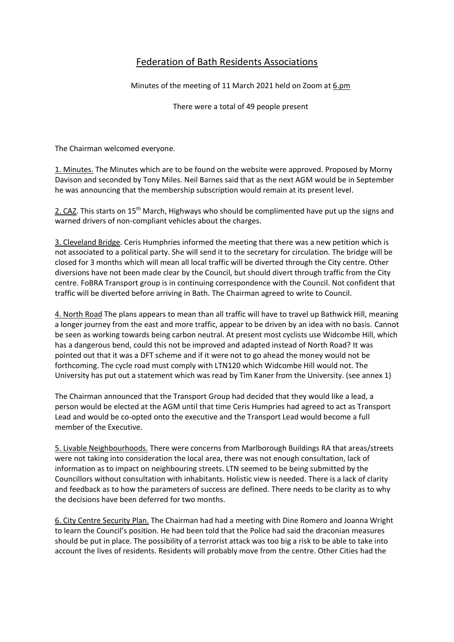## Federation of Bath Residents Associations

Minutes of the meeting of 11 March 2021 held on Zoom at [6.pm](https://gbr01.safelinks.protection.outlook.com/?url=http%3A%2F%2F6.pm%2F&data=04%7C01%7Cjld%40maysbrown.com%7C39c58129abfc43fc2dc208d8eace6d41%7C90f7979d9ff24ff0bd72885c8c921a34%7C1%7C0%7C637517519605065470%7CUnknown%7CTWFpbGZsb3d8eyJWIjoiMC4wLjAwMDAiLCJQIjoiV2luMzIiLCJBTiI6Ik1haWwiLCJXVCI6Mn0%3D%7C1000&sdata=1SORIw9vJZip3iRxN2fvyzDsZs2UbeFIz0GQ3QNFL6o%3D&reserved=0)

There were a total of 49 people present

The Chairman welcomed everyone.

1. Minutes. The Minutes which are to be found on the website were approved. Proposed by Morny Davison and seconded by Tony Miles. Neil Barnes said that as the next AGM would be in September he was announcing that the membership subscription would remain at its present level.

2. CAZ. This starts on 15<sup>th</sup> March, Highways who should be complimented have put up the signs and warned drivers of non-compliant vehicles about the charges.

3. Cleveland Bridge. Ceris Humphries informed the meeting that there was a new petition which is not associated to a political party. She will send it to the secretary for circulation. The bridge will be closed for 3 months which will mean all local traffic will be diverted through the City centre. Other diversions have not been made clear by the Council, but should divert through traffic from the City centre. FoBRA Transport group is in continuing correspondence with the Council. Not confident that traffic will be diverted before arriving in Bath. The Chairman agreed to write to Council.

4. North Road The plans appears to mean than all traffic will have to travel up Bathwick Hill, meaning a longer journey from the east and more traffic, appear to be driven by an idea with no basis. Cannot be seen as working towards being carbon neutral. At present most cyclists use Widcombe Hill, which has a dangerous bend, could this not be improved and adapted instead of North Road? It was pointed out that it was a DFT scheme and if it were not to go ahead the money would not be forthcoming. The cycle road must comply with LTN120 which Widcombe Hill would not. The University has put out a statement which was read by Tim Kaner from the University. (see annex 1)

The Chairman announced that the Transport Group had decided that they would like a lead, a person would be elected at the AGM until that time Ceris Humpries had agreed to act as Transport Lead and would be co-opted onto the executive and the Transport Lead would become a full member of the Executive.

5. Livable Neighbourhoods. There were concerns from Marlborough Buildings RA that areas/streets were not taking into consideration the local area, there was not enough consultation, lack of information as to impact on neighbouring streets. LTN seemed to be being submitted by the Councillors without consultation with inhabitants. Holistic view is needed. There is a lack of clarity and feedback as to how the parameters of success are defined. There needs to be clarity as to why the decisions have been deferred for two months.

6. City Centre Security Plan. The Chairman had had a meeting with Dine Romero and Joanna Wright to learn the Council's position. He had been told that the Police had said the draconian measures should be put in place. The possibility of a terrorist attack was too big a risk to be able to take into account the lives of residents. Residents will probably move from the centre. Other Cities had the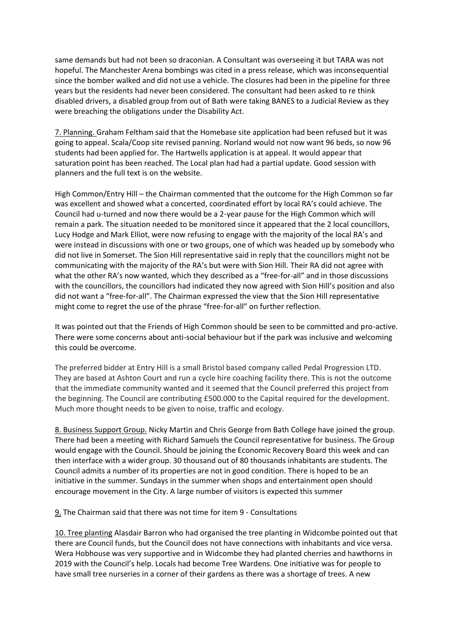same demands but had not been so draconian. A Consultant was overseeing it but TARA was not hopeful. The Manchester Arena bombings was cited in a press release, which was inconsequential since the bomber walked and did not use a vehicle. The closures had been in the pipeline for three years but the residents had never been considered. The consultant had been asked to re think disabled drivers, a disabled group from out of Bath were taking BANES to a Judicial Review as they were breaching the obligations under the Disability Act.

7. Planning. Graham Feltham said that the Homebase site application had been refused but it was going to appeal. Scala/Coop site revised panning. Norland would not now want 96 beds, so now 96 students had been applied for. The Hartwells application is at appeal. It would appear that saturation point has been reached. The Local plan had had a partial update. Good session with planners and the full text is on the website.

High Common/Entry Hill – the Chairman commented that the outcome for the High Common so far was excellent and showed what a concerted, coordinated effort by local RA's could achieve. The Council had u-turned and now there would be a 2-year pause for the High Common which will remain a park. The situation needed to be monitored since it appeared that the 2 local councillors, Lucy Hodge and Mark Elliot, were now refusing to engage with the majority of the local RA's and were instead in discussions with one or two groups, one of which was headed up by somebody who did not live in Somerset. The Sion Hill representative said in reply that the councillors might not be communicating with the majority of the RA's but were with Sion Hill. Their RA did not agree with what the other RA's now wanted, which they described as a "free-for-all" and in those discussions with the councillors, the councillors had indicated they now agreed with Sion Hill's position and also did not want a "free-for-all". The Chairman expressed the view that the Sion Hill representative might come to regret the use of the phrase "free-for-all" on further reflection.

It was pointed out that the Friends of High Common should be seen to be committed and pro-active. There were some concerns about anti-social behaviour but if the park was inclusive and welcoming this could be overcome.

The preferred bidder at Entry Hill is a small Bristol based company called Pedal Progression LTD. They are based at Ashton Court and run a cycle hire coaching facility there. This is not the outcome that the immediate community wanted and it seemed that the Council preferred this project from the beginning. The Council are contributing £500.000 to the Capital required for the development. Much more thought needs to be given to noise, traffic and ecology.

8. Business Support Group. Nicky Martin and Chris George from Bath College have joined the group. There had been a meeting with Richard Samuels the Council representative for business. The Group would engage with the Council. Should be joining the Economic Recovery Board this week and can then interface with a wider group. 30 thousand out of 80 thousands inhabitants are students. The Council admits a number of its properties are not in good condition. There is hoped to be an initiative in the summer. Sundays in the summer when shops and entertainment open should encourage movement in the City. A large number of visitors is expected this summer

9. The Chairman said that there was not time for item 9 - Consultations

10. Tree planting Alasdair Barron who had organised the tree planting in Widcombe pointed out that there are Council funds, but the Council does not have connections with inhabitants and vice versa. Wera Hobhouse was very supportive and in Widcombe they had planted cherries and hawthorns in 2019 with the Council's help. Locals had become Tree Wardens. One initiative was for people to have small tree nurseries in a corner of their gardens as there was a shortage of trees. A new